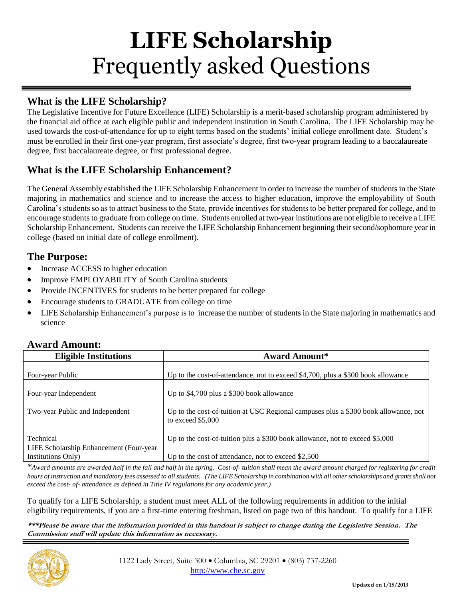# **LIFE Scholarship** Frequently asked Questions

# **What is the LIFE Scholarship?**

The Legislative Incentive for Future Excellence (LIFE) Scholarship is a merit-based scholarship program administered by the financial aid office at each eligible public and independent institution in South Carolina. The LIFE Scholarship may be used towards the cost-of-attendance for up to eight terms based on the students' initial college enrollment date. Student's must be enrolled in their first one-year program, first associate's degree, first two-year program leading to a baccalaureate degree, first baccalaureate degree, or first professional degree.

# **What is the LIFE Scholarship Enhancement?**

The General Assembly established the LIFE Scholarship Enhancement in order to increase the number of students in the State majoring in mathematics and science and to increase the access to higher education, improve the employability of South Carolina's students so as to attract business to the State, provide incentives for students to be better prepared for college, and to encourage students to graduate from college on time. Students enrolled at two-year institutions are not eligible to receive a LIFE Scholarship Enhancement. Students can receive the LIFE Scholarship Enhancement beginning their second/sophomore year in college (based on initial date of college enrollment).

### **The Purpose:**

- Increase ACCESS to higher education
- Improve EMPLOYABILITY of South Carolina students
- Provide INCENTIVES for students to be better prepared for college
- Encourage students to GRADUATE from college on time
- LIFE Scholarship Enhancement's purpose is to increase the number of students in the State majoring in mathematics and science

| <b>Eligible Institutions</b>                                  | <b>Award Amount*</b>                                                                                      |
|---------------------------------------------------------------|-----------------------------------------------------------------------------------------------------------|
|                                                               |                                                                                                           |
| Four-year Public                                              | Up to the cost-of-attendance, not to exceed \$4,700, plus a \$300 book allowance                          |
| Four-year Independent                                         | Up to \$4,700 plus a \$300 book allowance                                                                 |
| Two-year Public and Independent                               | Up to the cost-of-tuition at USC Regional campuses plus a \$300 book allowance, not<br>to exceed $$5,000$ |
| Technical                                                     | Up to the cost-of-tuition plus a $$300$ book allowance, not to exceed $$5,000$                            |
| LIFE Scholarship Enhancement (Four-year<br>Institutions Only) | Up to the cost of attendance, not to exceed $$2,500$                                                      |

## **Award Amount:**

*\*Award amounts are awarded half in the fall and half in the spring. Cost-of- tuition shall mean the award amount charged for registering for credit hours of instruction and mandatory fees assessed to all students. (The LIFE Scholarship in combination with all other scholarships and grants shall not exceed the cost- of- attendance as defined in Title IV regulations for any academic year.)*

To qualify for a LIFE Scholarship, a student must meet ALL of the following requirements in addition to the initial eligibility requirements, if you are a first-time entering freshman, listed on page two of this handout. To qualify for a LIFE

**\*\*\*Please be aware that the information provided in this handout is subject to change during the Legislative Session. The Commission staff will update this information as necessary.**

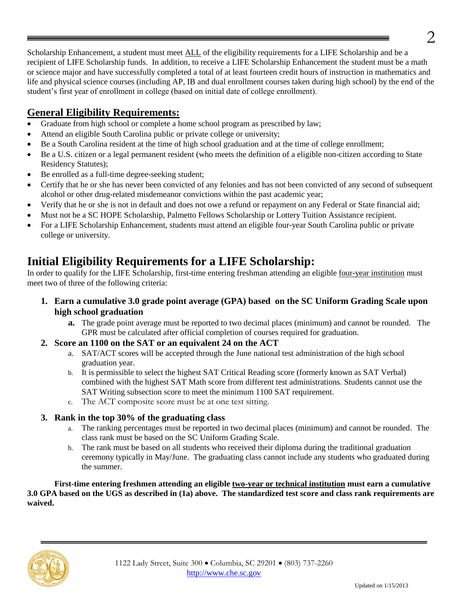Scholarship Enhancement, a student must meet ALL of the eligibility requirements for a LIFE Scholarship and be a recipient of LIFE Scholarship funds. In addition, to receive a LIFE Scholarship Enhancement the student must be a math or science major and have successfully completed a total of at least fourteen credit hours of instruction in mathematics and life and physical science courses (including AP, IB and dual enrollment courses taken during high school) by the end of the student's first year of enrollment in college (based on initial date of college enrollment).

# **General Eligibility Requirements:**

- Graduate from high school or complete a home school program as prescribed by law;
- Attend an eligible South Carolina public or private college or university;
- Be a South Carolina resident at the time of high school graduation and at the time of college enrollment;
- Be a U.S. citizen or a legal permanent resident (who meets the definition of a eligible non-citizen according to State Residency Statutes);
- Be enrolled as a full-time degree-seeking student;
- Certify that he or she has never been convicted of any felonies and has not been convicted of any second of subsequent alcohol or other drug-related misdemeanor convictions within the past academic year;
- Verify that he or she is not in default and does not owe a refund or repayment on any Federal or State financial aid;
- Must not be a SC HOPE Scholarship, Palmetto Fellows Scholarship or Lottery Tuition Assistance recipient.
- For a LIFE Scholarship Enhancement, students must attend an eligible four-year South Carolina public or private college or university.

# **Initial Eligibility Requirements for a LIFE Scholarship:**

In order to qualify for the LIFE Scholarship, first-time entering freshman attending an eligible <u>four-year institution</u> must meet two of three of the following criteria:

- **1. Earn a cumulative 3.0 grade point average (GPA) based on the SC Uniform Grading Scale upon high school graduation**
	- **a.** The grade point average must be reported to two decimal places (minimum) and cannot be rounded. The GPR must be calculated after official completion of courses required for graduation.
- **2. Score an 1100 on the SAT or an equivalent 24 on the ACT**
	- a. SAT/ACT scores will be accepted through the June national test administration of the high school graduation year.
	- b. It is permissible to select the highest SAT Critical Reading score (formerly known as SAT Verbal) combined with the highest SAT Math score from different test administrations. Students cannot use the SAT Writing subsection score to meet the minimum 1100 SAT requirement.
	- c. The ACT composite score must be at one test sitting.

#### **3. Rank in the top 30% of the graduating class**

- a. The ranking percentages must be reported in two decimal places (minimum) and cannot be rounded. The class rank must be based on the SC Uniform Grading Scale.
- b. The rank must be based on all students who received their diploma during the traditional graduation ceremony typically in May/June. The graduating class cannot include any students who graduated during the summer.

**First-time entering freshmen attending an eligible two-year or technical institution must earn a cumulative 3.0 GPA based on the UGS as described in (1a) above. The standardized test score and class rank requirements are waived.**

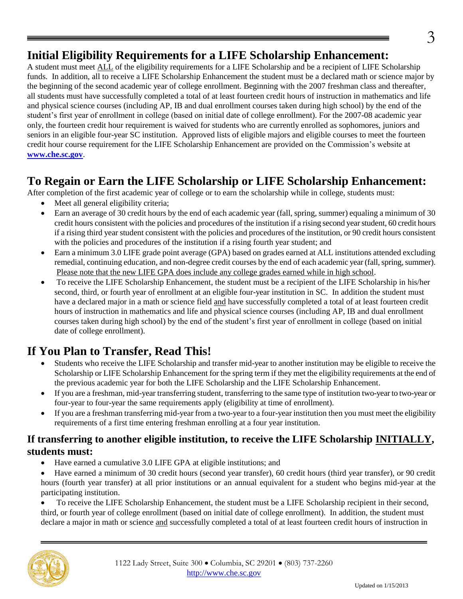# **Initial Eligibility Requirements for a LIFE Scholarship Enhancement:**

A student must meet ALL of the eligibility requirements for a LIFE Scholarship and be a recipient of LIFE Scholarship funds. In addition, all to receive a LIFE Scholarship Enhancement the student must be a declared math or science major by the beginning of the second academic year of college enrollment. Beginning with the 2007 freshman class and thereafter, all students must have successfully completed a total of at least fourteen credit hours of instruction in mathematics and life and physical science courses (including AP, IB and dual enrollment courses taken during high school) by the end of the student's first year of enrollment in college (based on initial date of college enrollment). For the 2007-08 academic year only, the fourteen credit hour requirement is waived for students who are currently enrolled as sophomores, juniors and seniors in an eligible four-year SC institution. Approved lists of eligible majors and eligible courses to meet the fourteen credit hour course requirement for the LIFE Scholarship Enhancement are provided on the Commission's website at **[www.che.sc.gov](http://www.che.sc.gov/)**.

# **To Regain or Earn the LIFE Scholarship or LIFE Scholarship Enhancement:**

After completion of the first academic year of college or to earn the scholarship while in college, students must:

- Meet all general eligibility criteria;
- Earn an average of 30 credit hours by the end of each academic year (fall, spring, summer) equaling a minimum of 30 credit hours consistent with the policies and procedures of the institution if a rising second year student, 60 credit hours if a rising third year student consistent with the policies and procedures of the institution, or 90 credit hours consistent with the policies and procedures of the institution if a rising fourth year student; and
- Earn a minimum 3.0 LIFE grade point average (GPA) based on grades earned at ALL institutions attended excluding remedial, continuing education, and non-degree credit courses by the end of each academic year (fall, spring, summer). Please note that the new LIFE GPA does include any college grades earned while in high school.
- To receive the LIFE Scholarship Enhancement, the student must be a recipient of the LIFE Scholarship in his/her second, third, or fourth year of enrollment at an eligible four-year institution in SC. In addition the student must have a declared major in a math or science field and have successfully completed a total of at least fourteen credit hours of instruction in mathematics and life and physical science courses (including AP, IB and dual enrollment courses taken during high school) by the end of the student's first year of enrollment in college (based on initial date of college enrollment).

# **If You Plan to Transfer, Read This!**

- Students who receive the LIFE Scholarship and transfer mid-year to another institution may be eligible to receive the Scholarship or LIFE Scholarship Enhancement for the spring term if they met the eligibility requirements at the end of the previous academic year for both the LIFE Scholarship and the LIFE Scholarship Enhancement.
- If you are a freshman, mid-year transferring student, transferring to the same type of institution two-year to two-year or four-year to four-year the same requirements apply (eligibility at time of enrollment).
- If you are a freshman transferring mid-year from a two-year to a four-year institution then you must meet the eligibility requirements of a first time entering freshman enrolling at a four year institution.

## **If transferring to another eligible institution, to receive the LIFE Scholarship INITIALLY, students must:**

- Have earned a cumulative 3.0 LIFE GPA at eligible institutions; and
- Have earned a minimum of 30 credit hours (second year transfer), 60 credit hours (third year transfer), or 90 credit hours (fourth year transfer) at all prior institutions or an annual equivalent for a student who begins mid-year at the participating institution.

 To receive the LIFE Scholarship Enhancement, the student must be a LIFE Scholarship recipient in their second, third, or fourth year of college enrollment (based on initial date of college enrollment). In addition, the student must declare a major in math or science and successfully completed a total of at least fourteen credit hours of instruction in

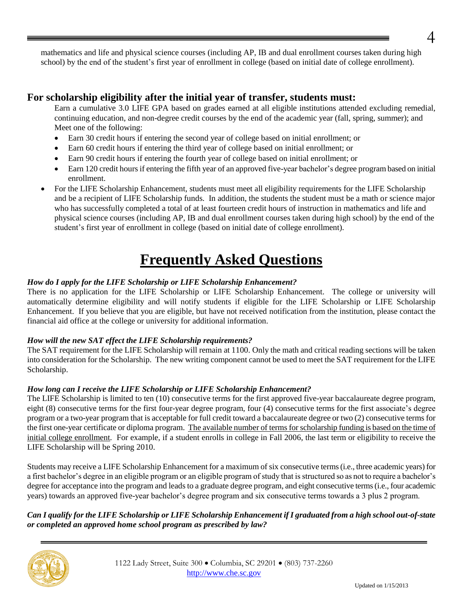mathematics and life and physical science courses (including AP, IB and dual enrollment courses taken during high school) by the end of the student's first year of enrollment in college (based on initial date of college enrollment).

## **For scholarship eligibility after the initial year of transfer, students must:**

Earn a cumulative 3.0 LIFE GPA based on grades earned at all eligible institutions attended excluding remedial, continuing education, and non-degree credit courses by the end of the academic year (fall, spring, summer); and Meet one of the following:

- Earn 30 credit hours if entering the second year of college based on initial enrollment; or
- Earn 60 credit hours if entering the third year of college based on initial enrollment; or
- Earn 90 credit hours if entering the fourth year of college based on initial enrollment; or
- Earn 120 credit hours if entering the fifth year of an approved five-year bachelor's degree program based on initial enrollment.
- For the LIFE Scholarship Enhancement, students must meet all eligibility requirements for the LIFE Scholarship and be a recipient of LIFE Scholarship funds. In addition, the students the student must be a math or science major who has successfully completed a total of at least fourteen credit hours of instruction in mathematics and life and physical science courses (including AP, IB and dual enrollment courses taken during high school) by the end of the student's first year of enrollment in college (based on initial date of college enrollment).

# **Frequently Asked Questions**

#### *How do I apply for the LIFE Scholarship or LIFE Scholarship Enhancement?*

There is no application for the LIFE Scholarship or LIFE Scholarship Enhancement. The college or university will automatically determine eligibility and will notify students if eligible for the LIFE Scholarship or LIFE Scholarship Enhancement. If you believe that you are eligible, but have not received notification from the institution, please contact the financial aid office at the college or university for additional information.

#### *How will the new SAT effect the LIFE Scholarship requirements?*

The SAT requirement for the LIFE Scholarship will remain at 1100. Only the math and critical reading sections will be taken into consideration for the Scholarship. The new writing component cannot be used to meet the SAT requirement for the LIFE Scholarship.

#### *How long can I receive the LIFE Scholarship or LIFE Scholarship Enhancement?*

The LIFE Scholarship is limited to ten (10) consecutive terms for the first approved five-year baccalaureate degree program, eight (8) consecutive terms for the first four-year degree program, four (4) consecutive terms for the first associate's degree program or a two-year program that is acceptable for full credit toward a baccalaureate degree or two (2) consecutive terms for the first one-year certificate or diploma program. The available number of terms for scholarship funding is based on the time of initial college enrollment. For example, if a student enrolls in college in Fall 2006, the last term or eligibility to receive the LIFE Scholarship will be Spring 2010.

Students may receive a LIFE Scholarship Enhancement for a maximum of six consecutive terms (i.e., three academic years) for a first bachelor's degree in an eligible program or an eligible program of study that is structured so as not to require a bachelor's degree for acceptance into the program and leads to a graduate degree program, and eight consecutive terms (i.e., four academic years) towards an approved five-year bachelor's degree program and six consecutive terms towards a 3 plus 2 program.

#### *Can I qualify for the LIFE Scholarship or LIFE Scholarship Enhancement if I graduated from a high school out-of-state or completed an approved home school program as prescribed by law?*



4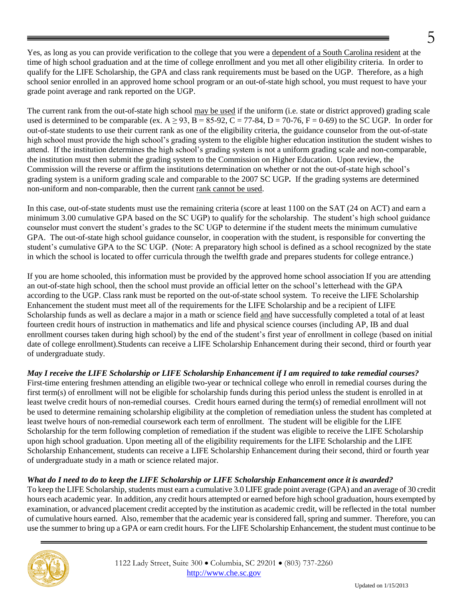Yes, as long as you can provide verification to the college that you were a dependent of a South Carolina resident at the time of high school graduation and at the time of college enrollment and you met all other eligibility criteria. In order to qualify for the LIFE Scholarship, the GPA and class rank requirements must be based on the UGP. Therefore, as a high school senior enrolled in an approved home school program or an out-of-state high school, you must request to have your grade point average and rank reported on the UGP.

The current rank from the out-of-state high school may be used if the uniform (i.e. state or district approved) grading scale used is determined to be comparable (ex.  $A \ge 93$ ,  $B = 85-92$ ,  $C = 77-84$ ,  $D = 70-76$ ,  $F = 0-69$ ) to the SC UGP. In order for out-of-state students to use their current rank as one of the eligibility criteria, the guidance counselor from the out-of-state high school must provide the high school's grading system to the eligible higher education institution the student wishes to attend. If the institution determines the high school's grading system is not a uniform grading scale and non-comparable, the institution must then submit the grading system to the Commission on Higher Education. Upon review, the Commission will the reverse or affirm the institutions determination on whether or not the out-of-state high school's grading system is a uniform grading scale and comparable to the 2007 SC UGP*.* If the grading systems are determined non-uniform and non-comparable, then the current rank cannot be used.

In this case, out-of-state students must use the remaining criteria (score at least 1100 on the SAT (24 on ACT) and earn a minimum 3.00 cumulative GPA based on the SC UGP) to qualify for the scholarship. The student's high school guidance counselor must convert the student's grades to the SC UGP to determine if the student meets the minimum cumulative GPA. The out-of-state high school guidance counselor, in cooperation with the student, is responsible for converting the student's cumulative GPA to the SC UGP. (Note: A preparatory high school is defined as a school recognized by the state in which the school is located to offer curricula through the twelfth grade and prepares students for college entrance.)

If you are home schooled, this information must be provided by the approved home school association If you are attending an out-of-state high school, then the school must provide an official letter on the school's letterhead with the GPA according to the UGP. Class rank must be reported on the out-of-state school system. To receive the LIFE Scholarship Enhancement the student must meet all of the requirements for the LIFE Scholarship and be a recipient of LIFE Scholarship funds as well as declare a major in a math or science field and have successfully completed a total of at least fourteen credit hours of instruction in mathematics and life and physical science courses (including AP, IB and dual enrollment courses taken during high school) by the end of the student's first year of enrollment in college (based on initial date of college enrollment).Students can receive a LIFE Scholarship Enhancement during their second, third or fourth year of undergraduate study.

*May I receive the LIFE Scholarship or LIFE Scholarship Enhancement if I am required to take remedial courses?* First-time entering freshmen attending an eligible two-year or technical college who enroll in remedial courses during the first term(s) of enrollment will not be eligible for scholarship funds during this period unless the student is enrolled in at least twelve credit hours of non-remedial courses. Credit hours earned during the term(s) of remedial enrollment will not be used to determine remaining scholarship eligibility at the completion of remediation unless the student has completed at least twelve hours of non-remedial coursework each term of enrollment. The student will be eligible for the LIFE Scholarship for the term following completion of remediation if the student was eligible to receive the LIFE Scholarship upon high school graduation. Upon meeting all of the eligibility requirements for the LIFE Scholarship and the LIFE Scholarship Enhancement, students can receive a LIFE Scholarship Enhancement during their second, third or fourth year of undergraduate study in a math or science related major.

#### *What do I need to do to keep the LIFE Scholarship or LIFE Scholarship Enhancement once it is awarded?*

To keep the LIFE Scholarship, students must earn a cumulative 3.0 LIFE grade point average (GPA) and an average of 30 credit hours each academic year. In addition, any credit hours attempted or earned before high school graduation, hours exempted by examination, or advanced placement credit accepted by the institution as academic credit, will be reflected in the total number of cumulative hours earned. Also, remember that the academic year is considered fall, spring and summer. Therefore, you can use the summer to bring up a GPA or earn credit hours. For the LIFE Scholarship Enhancement, the student must continue to be



5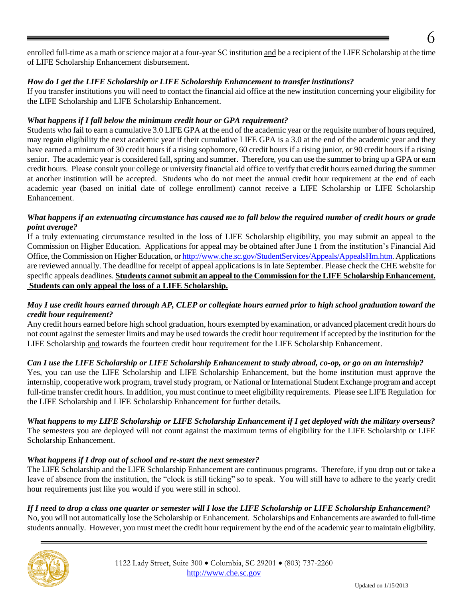enrolled full-time as a math or science major at a four-year SC institution and be a recipient of the LIFE Scholarship at the time of LIFE Scholarship Enhancement disbursement.

#### *How do I get the LIFE Scholarship or LIFE Scholarship Enhancement to transfer institutions?*

If you transfer institutions you will need to contact the financial aid office at the new institution concerning your eligibility for the LIFE Scholarship and LIFE Scholarship Enhancement.

#### *What happens if I fall below the minimum credit hour or GPA requirement?*

Students who fail to earn a cumulative 3.0 LIFE GPA at the end of the academic year or the requisite number of hours required, may regain eligibility the next academic year if their cumulative LIFE GPA is a 3.0 at the end of the academic year and they have earned a minimum of 30 credit hours if a rising sophomore, 60 credit hours if a rising junior, or 90 credit hours if a rising senior. The academic year is considered fall, spring and summer. Therefore, you can use the summer to bring up a GPA or earn credit hours. Please consult your college or university financial aid office to verify that credit hours earned during the summer at another institution will be accepted. Students who do not meet the annual credit hour requirement at the end of each academic year (based on initial date of college enrollment) cannot receive a LIFE Scholarship or LIFE Scholarship Enhancement.

#### *What happens if an extenuating circumstance has caused me to fall below the required number of credit hours or grade point average?*

If a truly extenuating circumstance resulted in the loss of LIFE Scholarship eligibility, you may submit an appeal to the Commission on Higher Education. Applications for appeal may be obtained after June 1 from the institution's Financial Aid Office, the Commission on Higher Education, o[r http://www.che.sc.gov/StudentServices/Appeals/AppealsHm.htm.](http://www.che.sc.gov/StudentServices/Appeals/AppealsHm.htm) Applications are reviewed annually. The deadline for receipt of appeal applications is in late September. Please check the CHE website for specific appeals deadlines. **Students cannot submit an appeal to the Commission for the LIFE Scholarship Enhancement. Students can only appeal the loss of a LIFE Scholarship.**

#### *May I use credit hours earned through AP, CLEP or collegiate hours earned prior to high school graduation toward the credit hour requirement?*

Any credit hours earned before high school graduation, hours exempted by examination, or advanced placement credit hours do not count against the semester limits and may be used towards the credit hour requirement if accepted by the institution for the LIFE Scholarship and towards the fourteen credit hour requirement for the LIFE Scholarship Enhancement.

#### *Can I use the LIFE Scholarship or LIFE Scholarship Enhancement to study abroad, co-op, or go on an internship?*

Yes, you can use the LIFE Scholarship and LIFE Scholarship Enhancement, but the home institution must approve the internship, cooperative work program, travel study program, or National or International Student Exchange program and accept full-time transfer credit hours. In addition, you must continue to meet eligibility requirements. Please see LIFE Regulation for the LIFE Scholarship and LIFE Scholarship Enhancement for further details.

*What happens to my LIFE Scholarship or LIFE Scholarship Enhancement if I get deployed with the military overseas?* The semesters you are deployed will not count against the maximum terms of eligibility for the LIFE Scholarship or LIFE Scholarship Enhancement.

#### *What happens if I drop out of school and re-start the next semester?*

The LIFE Scholarship and the LIFE Scholarship Enhancement are continuous programs. Therefore, if you drop out or take a leave of absence from the institution, the "clock is still ticking" so to speak. You will still have to adhere to the yearly credit hour requirements just like you would if you were still in school.

#### *If I need to drop a class one quarter or semester will I lose the LIFE Scholarship or LIFE Scholarship Enhancement?*

No, you will not automatically lose the Scholarship or Enhancement. Scholarships and Enhancements are awarded to full-time students annually. However, you must meet the credit hour requirement by the end of the academic year to maintain eligibility.

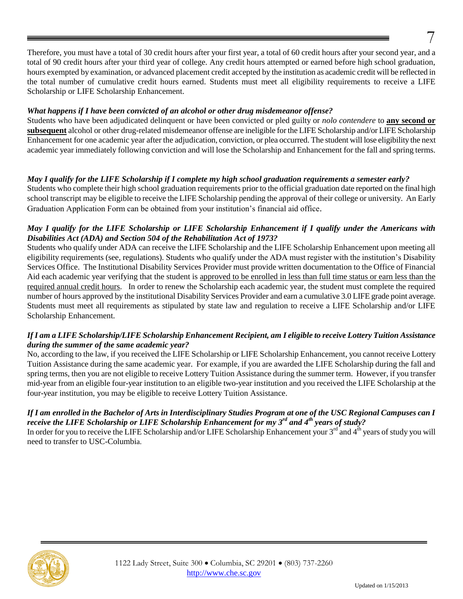#### *What happens if I have been convicted of an alcohol or other drug misdemeanor offense?*

Students who have been adjudicated delinquent or have been convicted or pled guilty or *nolo contendere* to **any second or subsequent** alcohol or other drug-related misdemeanor offense are ineligible for the LIFE Scholarship and/or LIFE Scholarship Enhancement for one academic year after the adjudication, conviction, or plea occurred. The student will lose eligibility the next academic year immediately following conviction and will lose the Scholarship and Enhancement for the fall and spring terms.

#### *May I qualify for the LIFE Scholarship if I complete my high school graduation requirements a semester early?*

Students who complete their high school graduation requirements prior to the official graduation date reported on the final high school transcript may be eligible to receive the LIFE Scholarship pending the approval of their college or university. An Early Graduation Application Form can be obtained from your institution's financial aid office.

#### *May I qualify for the LIFE Scholarship or LIFE Scholarship Enhancement if I qualify under the Americans with Disabilities Act (ADA) and Section 504 of the Rehabilitation Act of 1973?*

Students who qualify under ADA can receive the LIFE Scholarship and the LIFE Scholarship Enhancement upon meeting all eligibility requirements (see, regulations). Students who qualify under the ADA must register with the institution's Disability Services Office. The Institutional Disability Services Provider must provide written documentation to the Office of Financial Aid each academic year verifying that the student is approved to be enrolled in less than full time status or earn less than the required annual credit hours. In order to renew the Scholarship each academic year, the student must complete the required number of hours approved by the institutional Disability Services Provider and earn a cumulative 3.0 LIFE grade point average. Students must meet all requirements as stipulated by state law and regulation to receive a LIFE Scholarship and/or LIFE Scholarship Enhancement.

#### *If I am a LIFE Scholarship/LIFE Scholarship Enhancement Recipient, am I eligible to receive Lottery Tuition Assistance during the summer of the same academic year?*

No, according to the law, if you received the LIFE Scholarship or LIFE Scholarship Enhancement, you cannot receive Lottery Tuition Assistance during the same academic year. For example, if you are awarded the LIFE Scholarship during the fall and spring terms, then you are not eligible to receive Lottery Tuition Assistance during the summer term. However, if you transfer mid-year from an eligible four-year institution to an eligible two-year institution and you received the LIFE Scholarship at the four-year institution, you may be eligible to receive Lottery Tuition Assistance.

#### *If I am enrolled in the Bachelor of Arts in Interdisciplinary Studies Program at one of the USC Regional Campuses can I receive the LIFE Scholarship or LIFE Scholarship Enhancement for my 3rd and 4th years of study?*

In order for you to receive the LIFE Scholarship and/or LIFE Scholarship Enhancement your  $3^{rd}$  and  $4^{th}$  years of study you will need to transfer to USC-Columbia.